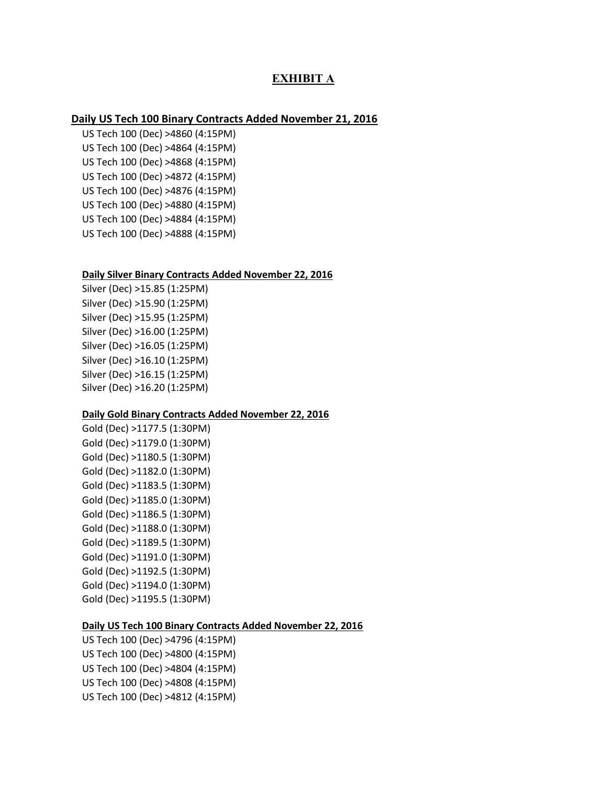# **EXHIBIT A**

## **Daily US Tech 100 Binary Contracts Added November 21, 2016**

US Tech 100 (Dec) >4860 (4:15PM) US Tech 100 (Dec) >4864 (4:15PM) US Tech 100 (Dec) >4868 (4:15PM) US Tech 100 (Dec) >4872 (4:15PM) US Tech 100 (Dec) >4876 (4:15PM) US Tech 100 (Dec) >4880 (4:15PM) US Tech 100 (Dec) >4884 (4:15PM) US Tech 100 (Dec) >4888 (4:15PM)

### **Daily Silver Binary Contracts Added November 22, 2016**

Silver (Dec) >15.85 (1:25PM) Silver (Dec) >15.90 (1:25PM) Silver (Dec) >15.95 (1:25PM) Silver (Dec) >16.00 (1:25PM) Silver (Dec) >16.05 (1:25PM) Silver (Dec) >16.10 (1:25PM) Silver (Dec) >16.15 (1:25PM) Silver (Dec) >16.20 (1:25PM)

## **Daily Gold Binary Contracts Added November 22, 2016**

Gold (Dec) >1177.5 (1:30PM) Gold (Dec) >1179.0 (1:30PM) Gold (Dec) >1180.5 (1:30PM) Gold (Dec) >1182.0 (1:30PM) Gold (Dec) >1183.5 (1:30PM) Gold (Dec) >1185.0 (1:30PM) Gold (Dec) >1186.5 (1:30PM) Gold (Dec) >1188.0 (1:30PM) Gold (Dec) >1189.5 (1:30PM) Gold (Dec) >1191.0 (1:30PM) Gold (Dec) >1192.5 (1:30PM) Gold (Dec) >1194.0 (1:30PM) Gold (Dec) >1195.5 (1:30PM)

#### **Daily US Tech 100 Binary Contracts Added November 22, 2016**

US Tech 100 (Dec) >4796 (4:15PM) US Tech 100 (Dec) >4800 (4:15PM) US Tech 100 (Dec) >4804 (4:15PM) US Tech 100 (Dec) >4808 (4:15PM) US Tech 100 (Dec) >4812 (4:15PM)